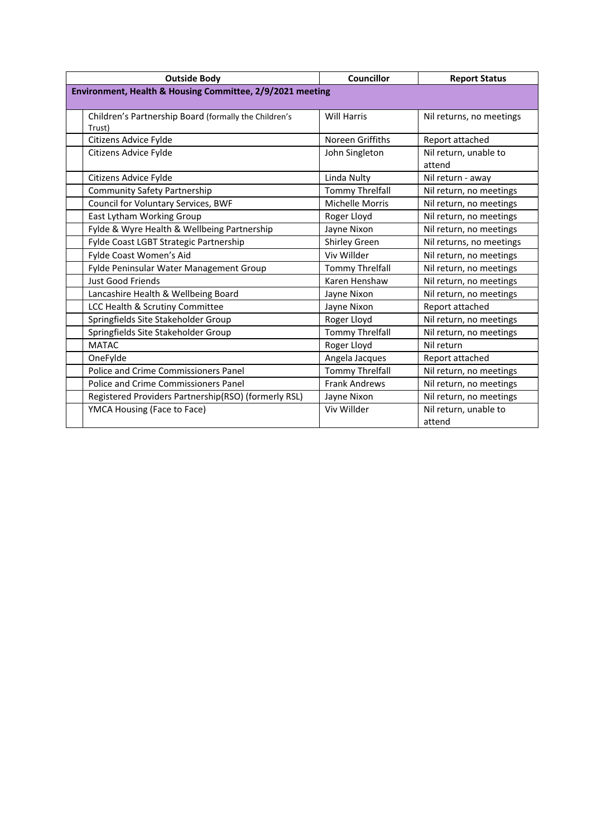| <b>Outside Body</b>                                       |                                                                 | <b>Councillor</b>      | <b>Report Status</b>            |
|-----------------------------------------------------------|-----------------------------------------------------------------|------------------------|---------------------------------|
| Environment, Health & Housing Committee, 2/9/2021 meeting |                                                                 |                        |                                 |
|                                                           |                                                                 |                        |                                 |
|                                                           | Children's Partnership Board (formally the Children's<br>Trust) | <b>Will Harris</b>     | Nil returns, no meetings        |
|                                                           | Citizens Advice Fylde                                           | Noreen Griffiths       | Report attached                 |
|                                                           | Citizens Advice Fylde                                           | John Singleton         | Nil return, unable to<br>attend |
|                                                           | Citizens Advice Fylde                                           | Linda Nulty            | Nil return - away               |
|                                                           | <b>Community Safety Partnership</b>                             | <b>Tommy Threlfall</b> | Nil return, no meetings         |
|                                                           | Council for Voluntary Services, BWF                             | <b>Michelle Morris</b> | Nil return, no meetings         |
|                                                           | East Lytham Working Group                                       | Roger Lloyd            | Nil return, no meetings         |
|                                                           | Fylde & Wyre Health & Wellbeing Partnership                     | Jayne Nixon            | Nil return, no meetings         |
|                                                           | Fylde Coast LGBT Strategic Partnership                          | <b>Shirley Green</b>   | Nil returns, no meetings        |
|                                                           | Fylde Coast Women's Aid                                         | Viv Willder            | Nil return, no meetings         |
|                                                           | Fylde Peninsular Water Management Group                         | <b>Tommy Threlfall</b> | Nil return, no meetings         |
|                                                           | Just Good Friends                                               | Karen Henshaw          | Nil return, no meetings         |
|                                                           | Lancashire Health & Wellbeing Board                             | Jayne Nixon            | Nil return, no meetings         |
|                                                           | LCC Health & Scrutiny Committee                                 | Jayne Nixon            | Report attached                 |
|                                                           | Springfields Site Stakeholder Group                             | Roger Lloyd            | Nil return, no meetings         |
|                                                           | Springfields Site Stakeholder Group                             | <b>Tommy Threlfall</b> | Nil return, no meetings         |
|                                                           | <b>MATAC</b>                                                    | Roger Lloyd            | Nil return                      |
|                                                           | OneFylde                                                        | Angela Jacques         | Report attached                 |
|                                                           | <b>Police and Crime Commissioners Panel</b>                     | <b>Tommy Threlfall</b> | Nil return, no meetings         |
|                                                           | Police and Crime Commissioners Panel                            | <b>Frank Andrews</b>   | Nil return, no meetings         |
|                                                           | Registered Providers Partnership(RSO) (formerly RSL)            | Jayne Nixon            | Nil return, no meetings         |
|                                                           | YMCA Housing (Face to Face)                                     | Viv Willder            | Nil return, unable to<br>attend |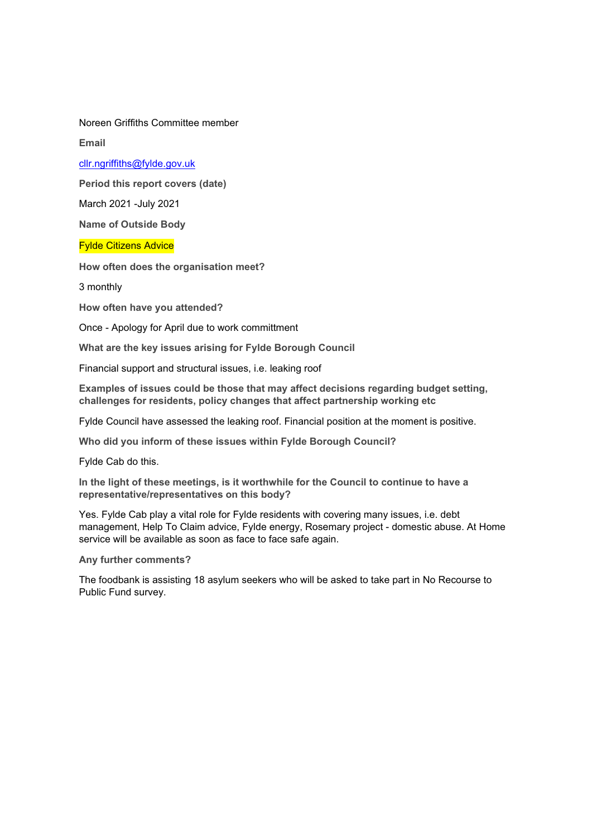Noreen Griffiths Committee member

**Email**

## [cllr.ngriffiths@fylde.gov.uk](mailto:cllr.ngriffiths@fylde.gov.uk)

**Period this report covers (date)**

March 2021 - July 2021

**Name of Outside Body**

Fylde Citizens Advice

**How often does the organisation meet?**

3 monthly

**How often have you attended?**

Once Apology for April due to work committment

**What are the key issues arising for Fylde Borough Council**

Financial support and structural issues, i.e. leaking roof

**Examples of issues could be those that may affect decisions regarding budget setting, challenges for residents, policy changes that affect partnership working etc**

Fylde Council have assessed the leaking roof. Financial position at the moment is positive.

**Who did you inform of these issues within Fylde Borough Council?**

Fylde Cab do this.

**In the light of these meetings, is it worthwhile for the Council to continue to have a representative/representatives on this body?**

Yes. Fylde Cab play a vital role for Fylde residents with covering many issues, i.e. debt management, Help To Claim advice, Fylde energy, Rosemary project - domestic abuse. At Home service will be available as soon as face to face safe again.

**Any further comments?**

The foodbank is assisting 18 asylum seekers who will be asked to take part in No Recourse to Public Fund survey.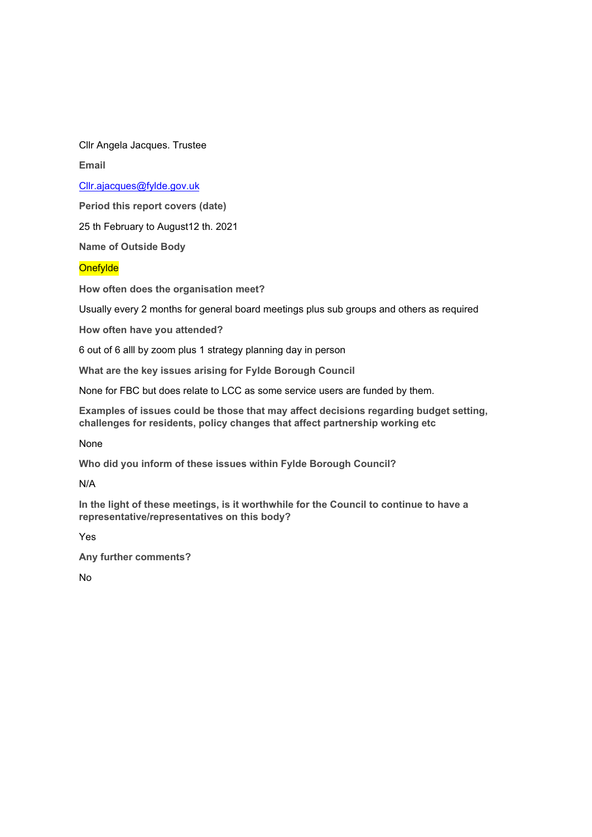Cllr Angela Jacques. Trustee

**Email**

[Cllr.ajacques@fylde.gov.uk](mailto:Cllr.ajacques@fylde.gov.uk)

**Period this report covers (date)**

25 th February to August12 th. 2021

**Name of Outside Body**

**Onefylde** 

**How often does the organisation meet?**

Usually every 2 months for general board meetings plus sub groups and others as required

**How often have you attended?**

6 out of 6 alll by zoom plus 1 strategy planning day in person

**What are the key issues arising for Fylde Borough Council**

None for FBC but does relate to LCC as some service users are funded by them.

**Examples of issues could be those that may affect decisions regarding budget setting, challenges for residents, policy changes that affect partnership working etc**

None

**Who did you inform of these issues within Fylde Borough Council?**

N/A

**In the light of these meetings, is it worthwhile for the Council to continue to have a representative/representatives on this body?**

Yes

**Any further comments?**

No